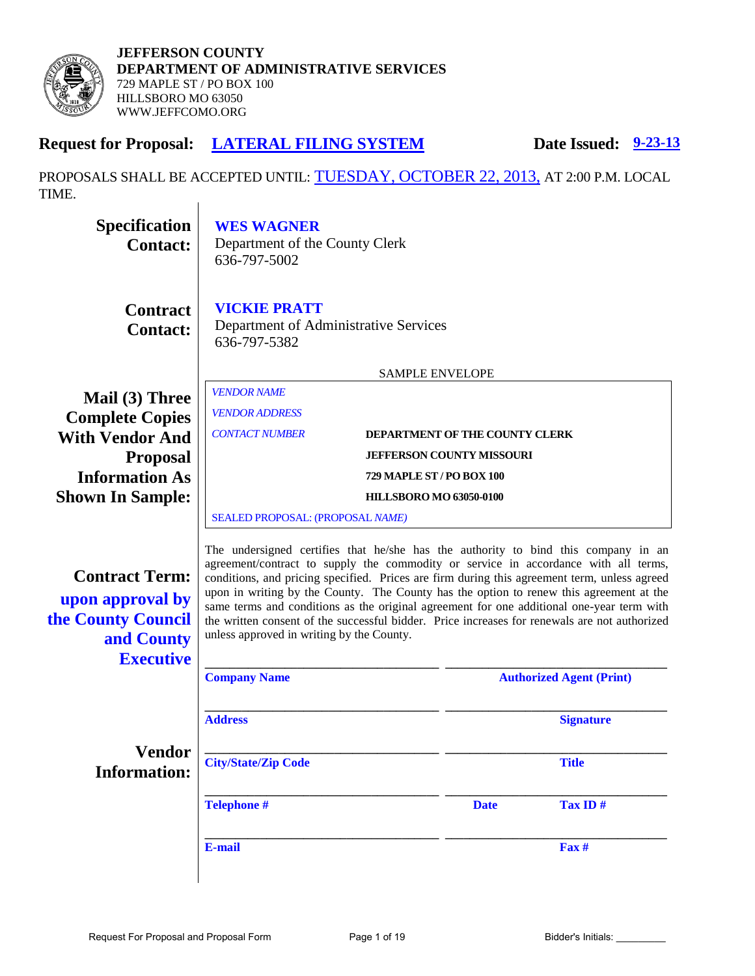

# **Request for Proposal: LATERAL FILING SYSTEM Date Issued: 9-23-13**

PROPOSALS SHALL BE ACCEPTED UNTIL: TUESDAY, OCTOBER 22, 2013, AT 2:00 P.M. LOCAL TIME. $\overline{\phantom{a}}$ 

| <b>Specification</b><br><b>Contact:</b>                                                           | <b>WES WAGNER</b><br>Department of the County Clerk<br>636-797-5002                                                                                                                                                                                                                                                                                                                                                                                                                                                                                                                                             |                                  |             |                                 |  |
|---------------------------------------------------------------------------------------------------|-----------------------------------------------------------------------------------------------------------------------------------------------------------------------------------------------------------------------------------------------------------------------------------------------------------------------------------------------------------------------------------------------------------------------------------------------------------------------------------------------------------------------------------------------------------------------------------------------------------------|----------------------------------|-------------|---------------------------------|--|
| <b>Contract</b><br><b>Contact:</b>                                                                | <b>VICKIE PRATT</b><br>Department of Administrative Services<br>636-797-5382                                                                                                                                                                                                                                                                                                                                                                                                                                                                                                                                    |                                  |             |                                 |  |
|                                                                                                   |                                                                                                                                                                                                                                                                                                                                                                                                                                                                                                                                                                                                                 | <b>SAMPLE ENVELOPE</b>           |             |                                 |  |
| Mail (3) Three<br><b>Complete Copies</b>                                                          | <b>VENDOR NAME</b><br><b>VENDOR ADDRESS</b>                                                                                                                                                                                                                                                                                                                                                                                                                                                                                                                                                                     |                                  |             |                                 |  |
| <b>With Vendor And</b>                                                                            | <b>CONTACT NUMBER</b>                                                                                                                                                                                                                                                                                                                                                                                                                                                                                                                                                                                           |                                  |             | DEPARTMENT OF THE COUNTY CLERK  |  |
| <b>Proposal</b>                                                                                   | <b>JEFFERSON COUNTY MISSOURI</b>                                                                                                                                                                                                                                                                                                                                                                                                                                                                                                                                                                                |                                  |             |                                 |  |
| <b>Information As</b>                                                                             |                                                                                                                                                                                                                                                                                                                                                                                                                                                                                                                                                                                                                 | <b>729 MAPLE ST / PO BOX 100</b> |             |                                 |  |
| <b>Shown In Sample:</b>                                                                           |                                                                                                                                                                                                                                                                                                                                                                                                                                                                                                                                                                                                                 | <b>HILLSBORO MO 63050-0100</b>   |             |                                 |  |
|                                                                                                   | SEALED PROPOSAL: (PROPOSAL NAME)                                                                                                                                                                                                                                                                                                                                                                                                                                                                                                                                                                                |                                  |             |                                 |  |
| <b>Contract Term:</b><br>upon approval by<br>the County Council<br>and County<br><b>Executive</b> | The undersigned certifies that he/she has the authority to bind this company in an<br>agreement/contract to supply the commodity or service in accordance with all terms,<br>conditions, and pricing specified. Prices are firm during this agreement term, unless agreed<br>upon in writing by the County. The County has the option to renew this agreement at the<br>same terms and conditions as the original agreement for one additional one-year term with<br>the written consent of the successful bidder. Price increases for renewals are not authorized<br>unless approved in writing by the County. |                                  |             |                                 |  |
|                                                                                                   | <b>Company Name</b>                                                                                                                                                                                                                                                                                                                                                                                                                                                                                                                                                                                             |                                  |             | <b>Authorized Agent (Print)</b> |  |
|                                                                                                   | <b>Address</b>                                                                                                                                                                                                                                                                                                                                                                                                                                                                                                                                                                                                  |                                  |             | <b>Signature</b>                |  |
| <b>Vendor</b><br><b>Information:</b>                                                              | <b>City/State/Zip Code</b>                                                                                                                                                                                                                                                                                                                                                                                                                                                                                                                                                                                      |                                  |             | <b>Title</b>                    |  |
|                                                                                                   | <b>Telephone#</b>                                                                                                                                                                                                                                                                                                                                                                                                                                                                                                                                                                                               |                                  | <b>Date</b> | Tax ID#                         |  |
|                                                                                                   | E-mail                                                                                                                                                                                                                                                                                                                                                                                                                                                                                                                                                                                                          |                                  |             | Fax #                           |  |
|                                                                                                   |                                                                                                                                                                                                                                                                                                                                                                                                                                                                                                                                                                                                                 |                                  |             |                                 |  |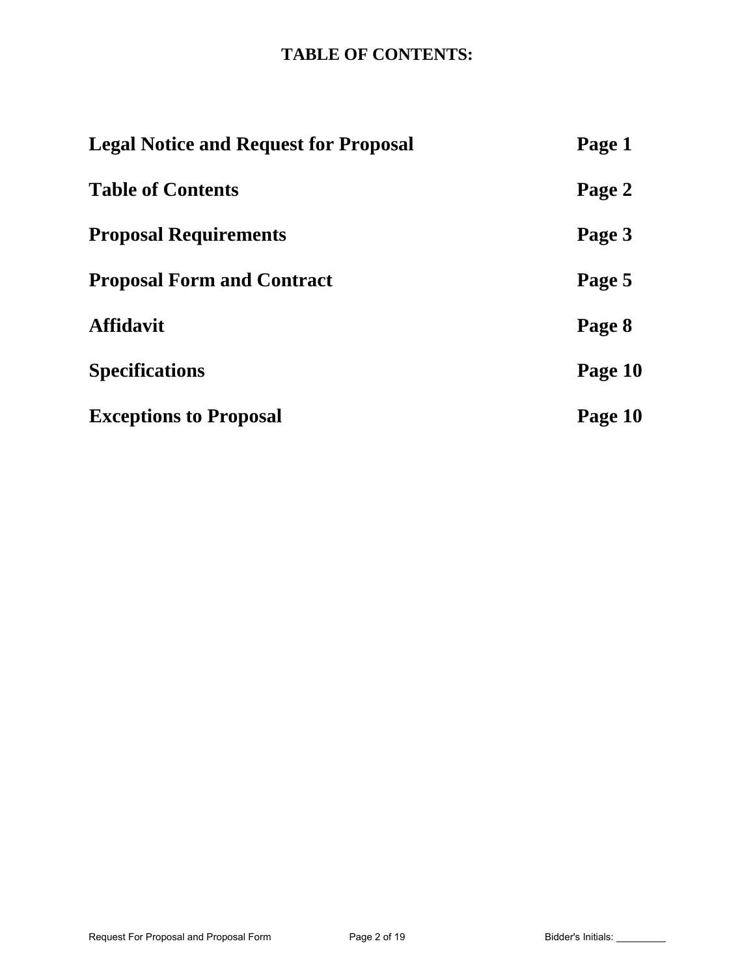# **TABLE OF CONTENTS:**

| <b>Legal Notice and Request for Proposal</b> | Page 1  |
|----------------------------------------------|---------|
| <b>Table of Contents</b>                     | Page 2  |
| <b>Proposal Requirements</b>                 | Page 3  |
| <b>Proposal Form and Contract</b>            | Page 5  |
| <b>Affidavit</b>                             | Page 8  |
| <b>Specifications</b>                        | Page 10 |
| <b>Exceptions to Proposal</b>                | Page 10 |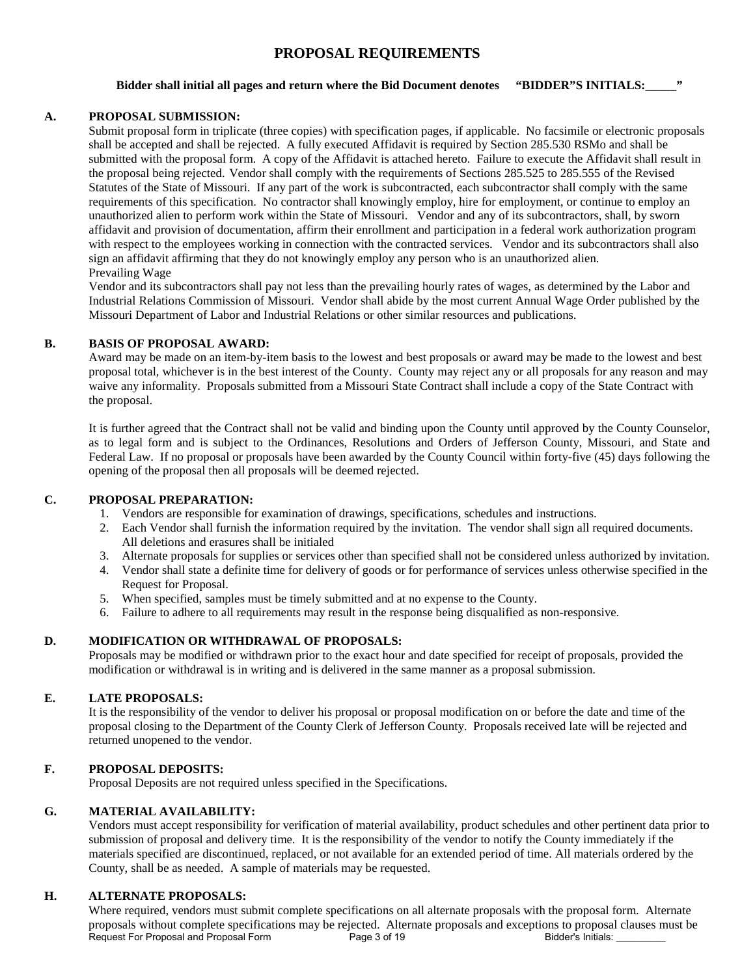## **PROPOSAL REQUIREMENTS**

#### **Bidder shall initial all pages and return where the Bid Document denotes "BIDDER"S INITIALS:\_\_\_\_\_"**

#### **A. PROPOSAL SUBMISSION:**

Submit proposal form in triplicate (three copies) with specification pages, if applicable. No facsimile or electronic proposals shall be accepted and shall be rejected. A fully executed Affidavit is required by Section 285.530 RSMo and shall be submitted with the proposal form. A copy of the Affidavit is attached hereto. Failure to execute the Affidavit shall result in the proposal being rejected. Vendor shall comply with the requirements of Sections 285.525 to 285.555 of the Revised Statutes of the State of Missouri. If any part of the work is subcontracted, each subcontractor shall comply with the same requirements of this specification. No contractor shall knowingly employ, hire for employment, or continue to employ an unauthorized alien to perform work within the State of Missouri. Vendor and any of its subcontractors, shall, by sworn affidavit and provision of documentation, affirm their enrollment and participation in a federal work authorization program with respect to the employees working in connection with the contracted services. Vendor and its subcontractors shall also sign an affidavit affirming that they do not knowingly employ any person who is an unauthorized alien. Prevailing Wage

Vendor and its subcontractors shall pay not less than the prevailing hourly rates of wages, as determined by the Labor and Industrial Relations Commission of Missouri. Vendor shall abide by the most current Annual Wage Order published by the Missouri Department of Labor and Industrial Relations or other similar resources and publications.

#### **B. BASIS OF PROPOSAL AWARD:**

Award may be made on an item-by-item basis to the lowest and best proposals or award may be made to the lowest and best proposal total, whichever is in the best interest of the County. County may reject any or all proposals for any reason and may waive any informality. Proposals submitted from a Missouri State Contract shall include a copy of the State Contract with the proposal.

It is further agreed that the Contract shall not be valid and binding upon the County until approved by the County Counselor, as to legal form and is subject to the Ordinances, Resolutions and Orders of Jefferson County, Missouri, and State and Federal Law. If no proposal or proposals have been awarded by the County Council within forty-five (45) days following the opening of the proposal then all proposals will be deemed rejected.

#### **C. PROPOSAL PREPARATION:**

- 1. Vendors are responsible for examination of drawings, specifications, schedules and instructions.
- 2. Each Vendor shall furnish the information required by the invitation. The vendor shall sign all required documents. All deletions and erasures shall be initialed
- 3. Alternate proposals for supplies or services other than specified shall not be considered unless authorized by invitation.
- 4. Vendor shall state a definite time for delivery of goods or for performance of services unless otherwise specified in the Request for Proposal.
- 5. When specified, samples must be timely submitted and at no expense to the County.
- 6. Failure to adhere to all requirements may result in the response being disqualified as non-responsive.

#### **D. MODIFICATION OR WITHDRAWAL OF PROPOSALS:**

Proposals may be modified or withdrawn prior to the exact hour and date specified for receipt of proposals, provided the modification or withdrawal is in writing and is delivered in the same manner as a proposal submission.

#### **E. LATE PROPOSALS:**

It is the responsibility of the vendor to deliver his proposal or proposal modification on or before the date and time of the proposal closing to the Department of the County Clerk of Jefferson County. Proposals received late will be rejected and returned unopened to the vendor.

#### **F. PROPOSAL DEPOSITS:**

Proposal Deposits are not required unless specified in the Specifications.

#### **G. MATERIAL AVAILABILITY:**

Vendors must accept responsibility for verification of material availability, product schedules and other pertinent data prior to submission of proposal and delivery time. It is the responsibility of the vendor to notify the County immediately if the materials specified are discontinued, replaced, or not available for an extended period of time. All materials ordered by the County, shall be as needed. A sample of materials may be requested.

#### **H. ALTERNATE PROPOSALS:**

Where required, vendors must submit complete specifications on all alternate proposals with the proposal form. Alternate proposals without complete specifications may be rejected. Alternate proposals and exceptions to proposal clauses must be<br>Request For Proposal and Proposal Form Page 3 of 19 Bidder's Initials: Request For Proposal and Proposal Form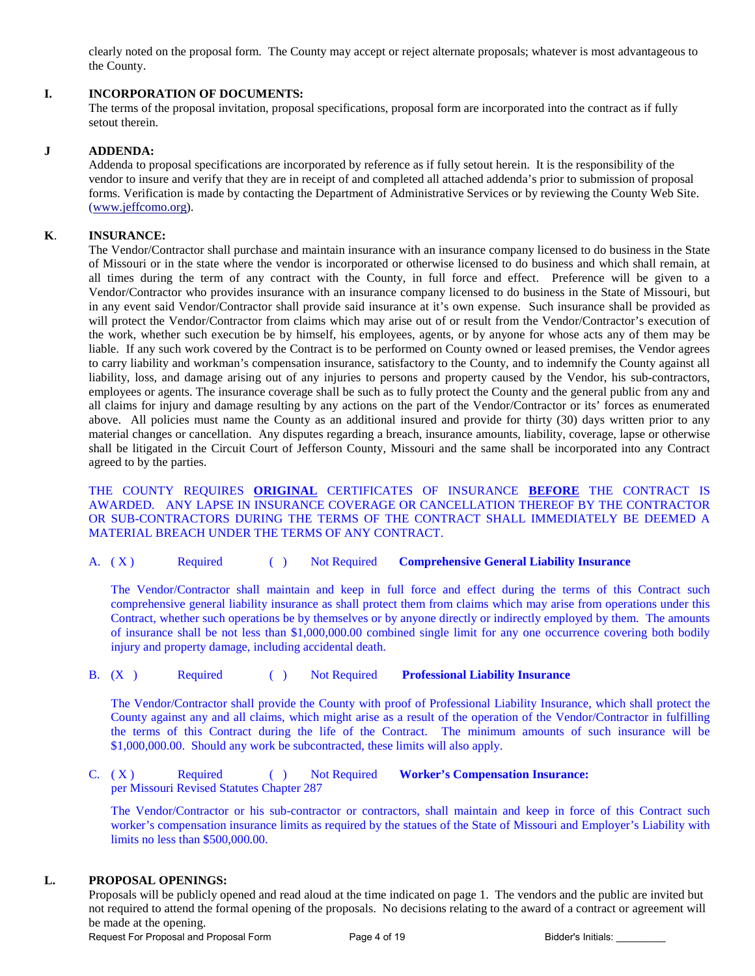clearly noted on the proposal form. The County may accept or reject alternate proposals; whatever is most advantageous to the County.

#### **I. INCORPORATION OF DOCUMENTS:**

The terms of the proposal invitation, proposal specifications, proposal form are incorporated into the contract as if fully setout therein.

#### **J ADDENDA:**

Addenda to proposal specifications are incorporated by reference as if fully setout herein. It is the responsibility of the vendor to insure and verify that they are in receipt of and completed all attached addenda's prior to submission of proposal forms. Verification is made by contacting the Department of Administrative Services or by reviewing the County Web Site. [\(www.jeffcomo.org\)](http://www.jeffcomo.org/).

#### **K**. **INSURANCE:**

 The Vendor/Contractor shall purchase and maintain insurance with an insurance company licensed to do business in the State of Missouri or in the state where the vendor is incorporated or otherwise licensed to do business and which shall remain, at all times during the term of any contract with the County, in full force and effect. Preference will be given to a Vendor/Contractor who provides insurance with an insurance company licensed to do business in the State of Missouri, but in any event said Vendor/Contractor shall provide said insurance at it's own expense. Such insurance shall be provided as will protect the Vendor/Contractor from claims which may arise out of or result from the Vendor/Contractor's execution of the work, whether such execution be by himself, his employees, agents, or by anyone for whose acts any of them may be liable. If any such work covered by the Contract is to be performed on County owned or leased premises, the Vendor agrees to carry liability and workman's compensation insurance, satisfactory to the County, and to indemnify the County against all liability, loss, and damage arising out of any injuries to persons and property caused by the Vendor, his sub-contractors, employees or agents. The insurance coverage shall be such as to fully protect the County and the general public from any and all claims for injury and damage resulting by any actions on the part of the Vendor/Contractor or its' forces as enumerated above. All policies must name the County as an additional insured and provide for thirty (30) days written prior to any material changes or cancellation. Any disputes regarding a breach, insurance amounts, liability, coverage, lapse or otherwise shall be litigated in the Circuit Court of Jefferson County, Missouri and the same shall be incorporated into any Contract agreed to by the parties.

 THE COUNTY REQUIRES **ORIGINAL** CERTIFICATES OF INSURANCE **BEFORE** THE CONTRACT IS AWARDED. ANY LAPSE IN INSURANCE COVERAGE OR CANCELLATION THEREOF BY THE CONTRACTOR OR SUB-CONTRACTORS DURING THE TERMS OF THE CONTRACT SHALL IMMEDIATELY BE DEEMED A MATERIAL BREACH UNDER THE TERMS OF ANY CONTRACT.

A. ( X ) Required ( ) Not Required **Comprehensive General Liability Insurance**

The Vendor/Contractor shall maintain and keep in full force and effect during the terms of this Contract such comprehensive general liability insurance as shall protect them from claims which may arise from operations under this Contract, whether such operations be by themselves or by anyone directly or indirectly employed by them. The amounts of insurance shall be not less than \$1,000,000.00 combined single limit for any one occurrence covering both bodily injury and property damage, including accidental death.

B. (X ) Required ( ) Not Required **Professional Liability Insurance**

The Vendor/Contractor shall provide the County with proof of Professional Liability Insurance, which shall protect the County against any and all claims, which might arise as a result of the operation of the Vendor/Contractor in fulfilling the terms of this Contract during the life of the Contract. The minimum amounts of such insurance will be \$1,000,000.00. Should any work be subcontracted, these limits will also apply.

C. ( X ) Required ( ) Not Required **Worker's Compensation Insurance:**  per Missouri Revised Statutes Chapter 287

The Vendor/Contractor or his sub-contractor or contractors, shall maintain and keep in force of this Contract such worker's compensation insurance limits as required by the statues of the State of Missouri and Employer's Liability with limits no less than \$500,000.00.

#### **L. PROPOSAL OPENINGS:**

Proposals will be publicly opened and read aloud at the time indicated on page 1. The vendors and the public are invited but not required to attend the formal opening of the proposals. No decisions relating to the award of a contract or agreement will be made at the opening.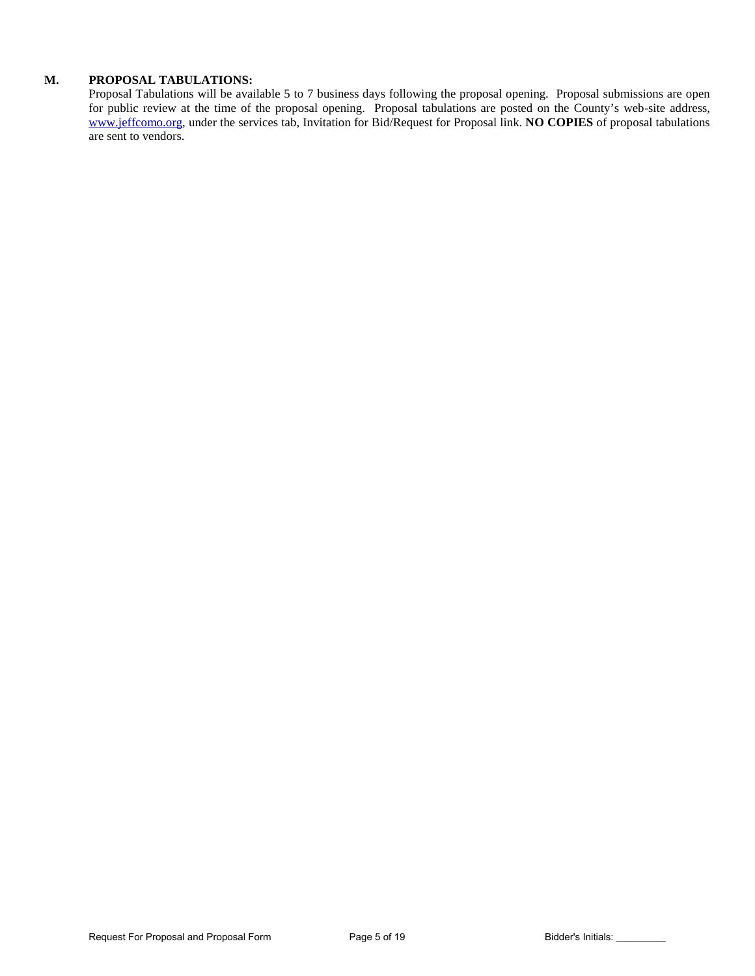#### **M. PROPOSAL TABULATIONS:**

Proposal Tabulations will be available 5 to 7 business days following the proposal opening. Proposal submissions are open for public review at the time of the proposal opening. Proposal tabulations are posted on the County's web-site address, [www.jeffcomo.org,](http://www.jeffcomo.org/) under the services tab, Invitation for Bid/Request for Proposal link. **NO COPIES** of proposal tabulations are sent to vendors.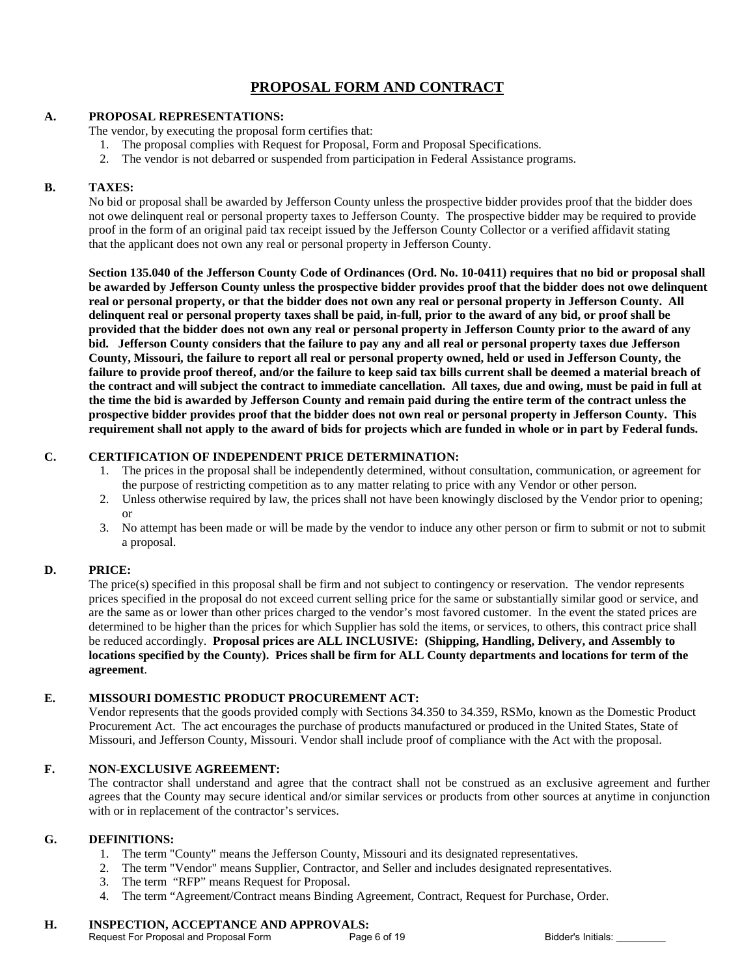# **PROPOSAL FORM AND CONTRACT**

#### **A. PROPOSAL REPRESENTATIONS:**

The vendor, by executing the proposal form certifies that:

- 1. The proposal complies with Request for Proposal, Form and Proposal Specifications.
- 2. The vendor is not debarred or suspended from participation in Federal Assistance programs.

#### **B. TAXES:**

No bid or proposal shall be awarded by Jefferson County unless the prospective bidder provides proof that the bidder does not owe delinquent real or personal property taxes to Jefferson County. The prospective bidder may be required to provide proof in the form of an original paid tax receipt issued by the Jefferson County Collector or a verified affidavit stating that the applicant does not own any real or personal property in Jefferson County.

**Section 135.040 of the Jefferson County Code of Ordinances (Ord. No. 10-0411) requires that no bid or proposal shall be awarded by Jefferson County unless the prospective bidder provides proof that the bidder does not owe delinquent real or personal property, or that the bidder does not own any real or personal property in Jefferson County. All delinquent real or personal property taxes shall be paid, in-full, prior to the award of any bid, or proof shall be provided that the bidder does not own any real or personal property in Jefferson County prior to the award of any bid. Jefferson County considers that the failure to pay any and all real or personal property taxes due Jefferson County, Missouri, the failure to report all real or personal property owned, held or used in Jefferson County, the failure to provide proof thereof, and/or the failure to keep said tax bills current shall be deemed a material breach of the contract and will subject the contract to immediate cancellation. All taxes, due and owing, must be paid in full at the time the bid is awarded by Jefferson County and remain paid during the entire term of the contract unless the prospective bidder provides proof that the bidder does not own real or personal property in Jefferson County. This requirement shall not apply to the award of bids for projects which are funded in whole or in part by Federal funds.**

#### **C. CERTIFICATION OF INDEPENDENT PRICE DETERMINATION:**

- 1. The prices in the proposal shall be independently determined, without consultation, communication, or agreement for the purpose of restricting competition as to any matter relating to price with any Vendor or other person.
- 2. Unless otherwise required by law, the prices shall not have been knowingly disclosed by the Vendor prior to opening; or
- 3. No attempt has been made or will be made by the vendor to induce any other person or firm to submit or not to submit a proposal.

#### **D. PRICE:**

The price(s) specified in this proposal shall be firm and not subject to contingency or reservation. The vendor represents prices specified in the proposal do not exceed current selling price for the same or substantially similar good or service, and are the same as or lower than other prices charged to the vendor's most favored customer. In the event the stated prices are determined to be higher than the prices for which Supplier has sold the items, or services, to others, this contract price shall be reduced accordingly. **Proposal prices are ALL INCLUSIVE: (Shipping, Handling, Delivery, and Assembly to locations specified by the County). Prices shall be firm for ALL County departments and locations for term of the agreement**.

#### **E. MISSOURI DOMESTIC PRODUCT PROCUREMENT ACT:**

Vendor represents that the goods provided comply with Sections 34.350 to 34.359, RSMo, known as the Domestic Product Procurement Act. The act encourages the purchase of products manufactured or produced in the United States, State of Missouri, and Jefferson County, Missouri. Vendor shall include proof of compliance with the Act with the proposal.

#### **F. NON-EXCLUSIVE AGREEMENT:**

The contractor shall understand and agree that the contract shall not be construed as an exclusive agreement and further agrees that the County may secure identical and/or similar services or products from other sources at anytime in conjunction with or in replacement of the contractor's services.

#### **G. DEFINITIONS:**

- 1. The term "County" means the Jefferson County, Missouri and its designated representatives.
- 2. The term "Vendor" means Supplier, Contractor, and Seller and includes designated representatives.
- 3. The term "RFP" means Request for Proposal.
- 4. The term "Agreement/Contract means Binding Agreement, Contract, Request for Purchase, Order.

# **H. INSPECTION, ACCEPTANCE AND APPROVALS:**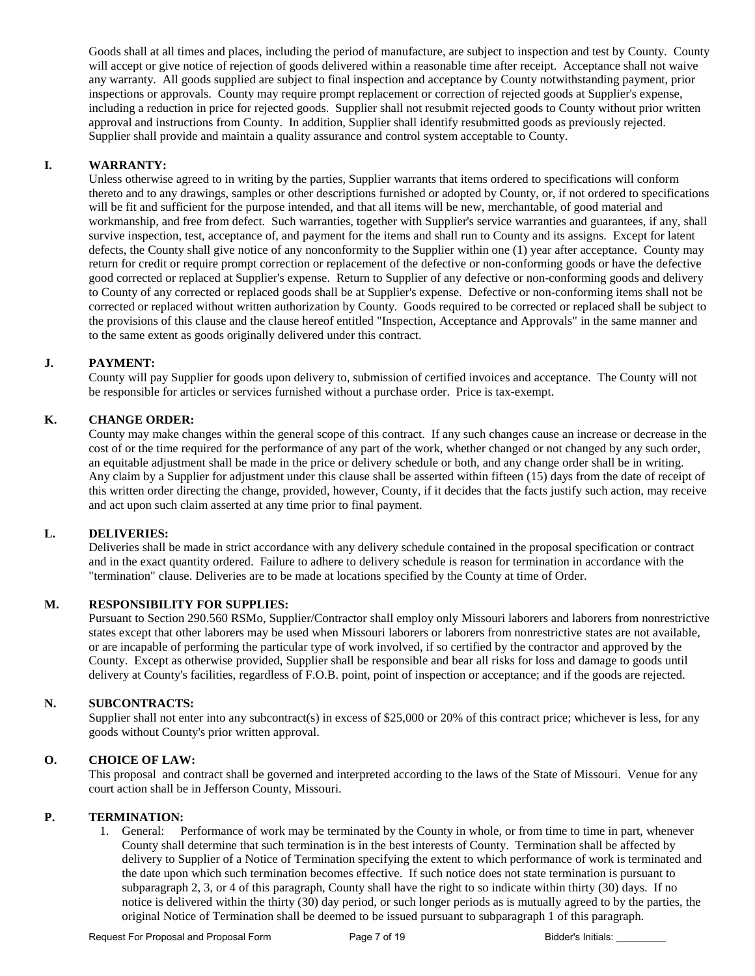Goods shall at all times and places, including the period of manufacture, are subject to inspection and test by County. County will accept or give notice of rejection of goods delivered within a reasonable time after receipt. Acceptance shall not waive any warranty. All goods supplied are subject to final inspection and acceptance by County notwithstanding payment, prior inspections or approvals. County may require prompt replacement or correction of rejected goods at Supplier's expense, including a reduction in price for rejected goods. Supplier shall not resubmit rejected goods to County without prior written approval and instructions from County. In addition, Supplier shall identify resubmitted goods as previously rejected. Supplier shall provide and maintain a quality assurance and control system acceptable to County.

#### **I. WARRANTY:**

Unless otherwise agreed to in writing by the parties, Supplier warrants that items ordered to specifications will conform thereto and to any drawings, samples or other descriptions furnished or adopted by County, or, if not ordered to specifications will be fit and sufficient for the purpose intended, and that all items will be new, merchantable, of good material and workmanship, and free from defect. Such warranties, together with Supplier's service warranties and guarantees, if any, shall survive inspection, test, acceptance of, and payment for the items and shall run to County and its assigns. Except for latent defects, the County shall give notice of any nonconformity to the Supplier within one (1) year after acceptance. County may return for credit or require prompt correction or replacement of the defective or non-conforming goods or have the defective good corrected or replaced at Supplier's expense. Return to Supplier of any defective or non-conforming goods and delivery to County of any corrected or replaced goods shall be at Supplier's expense. Defective or non-conforming items shall not be corrected or replaced without written authorization by County. Goods required to be corrected or replaced shall be subject to the provisions of this clause and the clause hereof entitled "Inspection, Acceptance and Approvals" in the same manner and to the same extent as goods originally delivered under this contract.

#### **J. PAYMENT:**

County will pay Supplier for goods upon delivery to, submission of certified invoices and acceptance. The County will not be responsible for articles or services furnished without a purchase order. Price is tax-exempt.

#### **K. CHANGE ORDER:**

County may make changes within the general scope of this contract. If any such changes cause an increase or decrease in the cost of or the time required for the performance of any part of the work, whether changed or not changed by any such order, an equitable adjustment shall be made in the price or delivery schedule or both, and any change order shall be in writing. Any claim by a Supplier for adjustment under this clause shall be asserted within fifteen (15) days from the date of receipt of this written order directing the change, provided, however, County, if it decides that the facts justify such action, may receive and act upon such claim asserted at any time prior to final payment.

#### **L. DELIVERIES:**

Deliveries shall be made in strict accordance with any delivery schedule contained in the proposal specification or contract and in the exact quantity ordered. Failure to adhere to delivery schedule is reason for termination in accordance with the "termination" clause. Deliveries are to be made at locations specified by the County at time of Order.

#### **M. RESPONSIBILITY FOR SUPPLIES:**

Pursuant to Section 290.560 RSMo, Supplier/Contractor shall employ only Missouri laborers and laborers from nonrestrictive states except that other laborers may be used when Missouri laborers or laborers from nonrestrictive states are not available, or are incapable of performing the particular type of work involved, if so certified by the contractor and approved by the County. Except as otherwise provided, Supplier shall be responsible and bear all risks for loss and damage to goods until delivery at County's facilities, regardless of F.O.B. point, point of inspection or acceptance; and if the goods are rejected.

#### **N. SUBCONTRACTS:**

Supplier shall not enter into any subcontract(s) in excess of \$25,000 or 20% of this contract price; whichever is less, for any goods without County's prior written approval.

#### **O. CHOICE OF LAW:**

This proposal and contract shall be governed and interpreted according to the laws of the State of Missouri. Venue for any court action shall be in Jefferson County, Missouri.

#### **P. TERMINATION:**

1. General: Performance of work may be terminated by the County in whole, or from time to time in part, whenever County shall determine that such termination is in the best interests of County. Termination shall be affected by delivery to Supplier of a Notice of Termination specifying the extent to which performance of work is terminated and the date upon which such termination becomes effective. If such notice does not state termination is pursuant to subparagraph 2, 3, or 4 of this paragraph, County shall have the right to so indicate within thirty (30) days. If no notice is delivered within the thirty (30) day period, or such longer periods as is mutually agreed to by the parties, the original Notice of Termination shall be deemed to be issued pursuant to subparagraph 1 of this paragraph.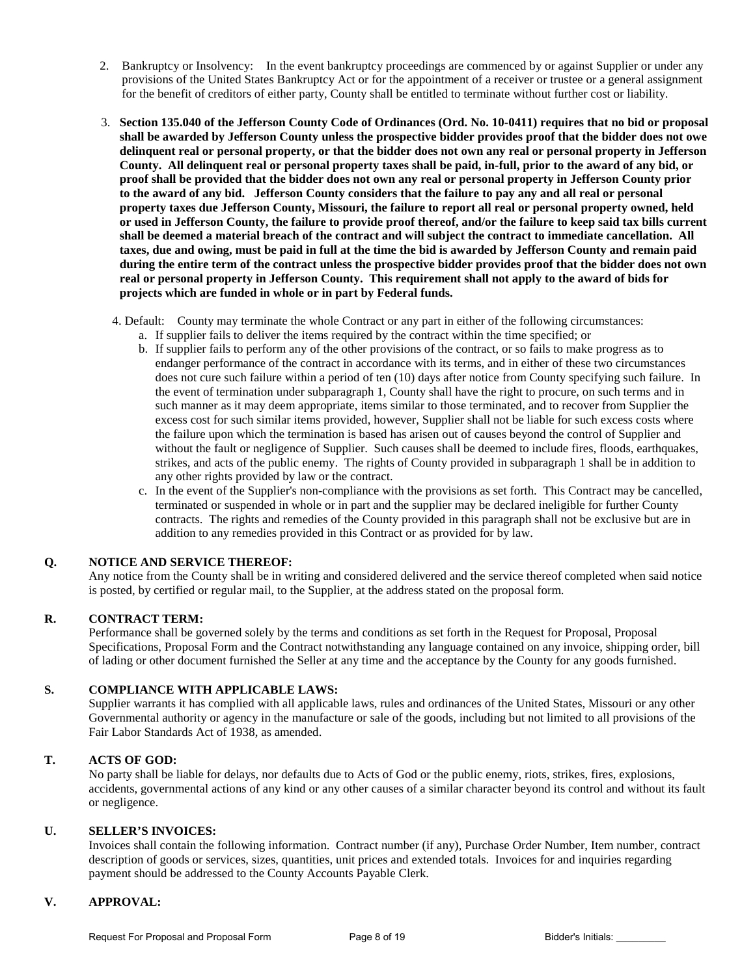- 2. Bankruptcy or Insolvency: In the event bankruptcy proceedings are commenced by or against Supplier or under any provisions of the United States Bankruptcy Act or for the appointment of a receiver or trustee or a general assignment for the benefit of creditors of either party, County shall be entitled to terminate without further cost or liability.
- 3. **Section 135.040 of the Jefferson County Code of Ordinances (Ord. No. 10-0411) requires that no bid or proposal shall be awarded by Jefferson County unless the prospective bidder provides proof that the bidder does not owe delinquent real or personal property, or that the bidder does not own any real or personal property in Jefferson County. All delinquent real or personal property taxes shall be paid, in-full, prior to the award of any bid, or proof shall be provided that the bidder does not own any real or personal property in Jefferson County prior to the award of any bid. Jefferson County considers that the failure to pay any and all real or personal property taxes due Jefferson County, Missouri, the failure to report all real or personal property owned, held or used in Jefferson County, the failure to provide proof thereof, and/or the failure to keep said tax bills current shall be deemed a material breach of the contract and will subject the contract to immediate cancellation. All taxes, due and owing, must be paid in full at the time the bid is awarded by Jefferson County and remain paid during the entire term of the contract unless the prospective bidder provides proof that the bidder does not own real or personal property in Jefferson County. This requirement shall not apply to the award of bids for projects which are funded in whole or in part by Federal funds.**
	- 4. Default: County may terminate the whole Contract or any part in either of the following circumstances:
		- a. If supplier fails to deliver the items required by the contract within the time specified; or
		- b. If supplier fails to perform any of the other provisions of the contract, or so fails to make progress as to endanger performance of the contract in accordance with its terms, and in either of these two circumstances does not cure such failure within a period of ten (10) days after notice from County specifying such failure. In the event of termination under subparagraph 1, County shall have the right to procure, on such terms and in such manner as it may deem appropriate, items similar to those terminated, and to recover from Supplier the excess cost for such similar items provided, however, Supplier shall not be liable for such excess costs where the failure upon which the termination is based has arisen out of causes beyond the control of Supplier and without the fault or negligence of Supplier. Such causes shall be deemed to include fires, floods, earthquakes, strikes, and acts of the public enemy. The rights of County provided in subparagraph 1 shall be in addition to any other rights provided by law or the contract.
		- c. In the event of the Supplier's non-compliance with the provisions as set forth. This Contract may be cancelled, terminated or suspended in whole or in part and the supplier may be declared ineligible for further County contracts. The rights and remedies of the County provided in this paragraph shall not be exclusive but are in addition to any remedies provided in this Contract or as provided for by law.

#### **Q. NOTICE AND SERVICE THEREOF:**

Any notice from the County shall be in writing and considered delivered and the service thereof completed when said notice is posted, by certified or regular mail, to the Supplier, at the address stated on the proposal form.

#### **R. CONTRACT TERM:**

Performance shall be governed solely by the terms and conditions as set forth in the Request for Proposal, Proposal Specifications, Proposal Form and the Contract notwithstanding any language contained on any invoice, shipping order, bill of lading or other document furnished the Seller at any time and the acceptance by the County for any goods furnished.

#### **S. COMPLIANCE WITH APPLICABLE LAWS:**

Supplier warrants it has complied with all applicable laws, rules and ordinances of the United States, Missouri or any other Governmental authority or agency in the manufacture or sale of the goods, including but not limited to all provisions of the Fair Labor Standards Act of 1938, as amended.

#### **T. ACTS OF GOD:**

No party shall be liable for delays, nor defaults due to Acts of God or the public enemy, riots, strikes, fires, explosions, accidents, governmental actions of any kind or any other causes of a similar character beyond its control and without its fault or negligence.

#### **U. SELLER'S INVOICES:**

Invoices shall contain the following information. Contract number (if any), Purchase Order Number, Item number, contract description of goods or services, sizes, quantities, unit prices and extended totals. Invoices for and inquiries regarding payment should be addressed to the County Accounts Payable Clerk.

#### **V. APPROVAL:**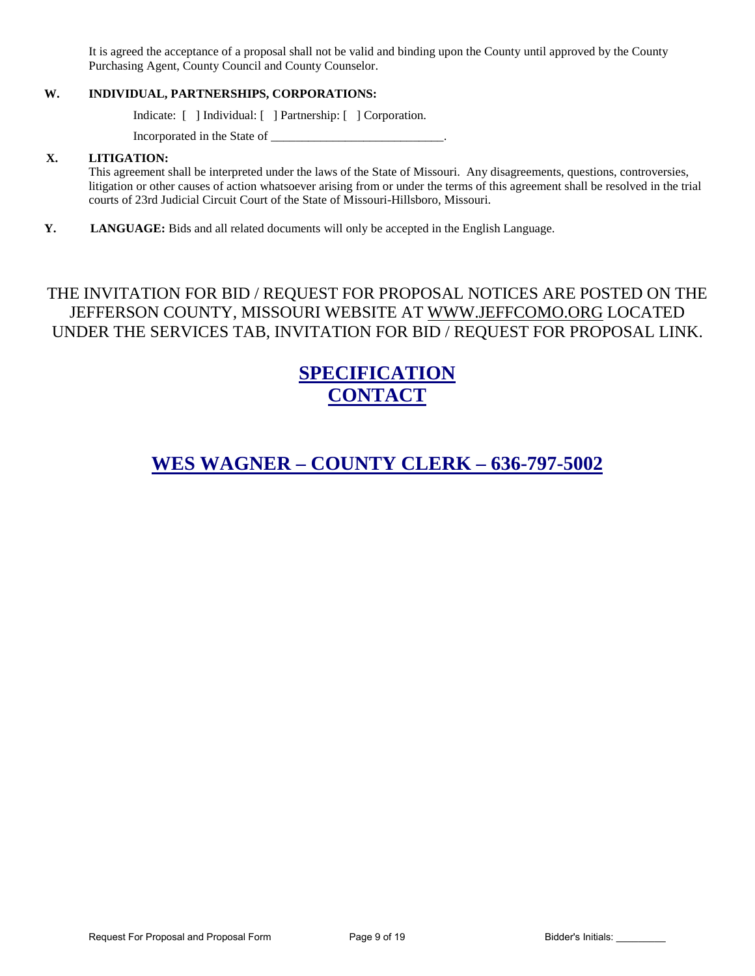It is agreed the acceptance of a proposal shall not be valid and binding upon the County until approved by the County Purchasing Agent, County Council and County Counselor.

#### **W. INDIVIDUAL, PARTNERSHIPS, CORPORATIONS:**

Indicate: [ ] Individual: [ ] Partnership: [ ] Corporation.

Incorporated in the State of \_\_\_\_\_\_\_\_\_\_\_\_\_\_\_\_\_\_\_\_\_\_\_\_\_\_\_\_.

#### **X. LITIGATION:**

This agreement shall be interpreted under the laws of the State of Missouri. Any disagreements, questions, controversies, litigation or other causes of action whatsoever arising from or under the terms of this agreement shall be resolved in the trial courts of 23rd Judicial Circuit Court of the State of Missouri-Hillsboro, Missouri.

**Y. LANGUAGE:** Bids and all related documents will only be accepted in the English Language.

# THE INVITATION FOR BID / REQUEST FOR PROPOSAL NOTICES ARE POSTED ON THE JEFFERSON COUNTY, MISSOURI WEBSITE AT [WWW.JEFFCOMO.ORG](http://www.jeffcomo.org/) LOCATED UNDER THE SERVICES TAB, INVITATION FOR BID / REQUEST FOR PROPOSAL LINK.

# **SPECIFICATION CONTACT**

# **WES WAGNER – COUNTY CLERK – 636-797-5002**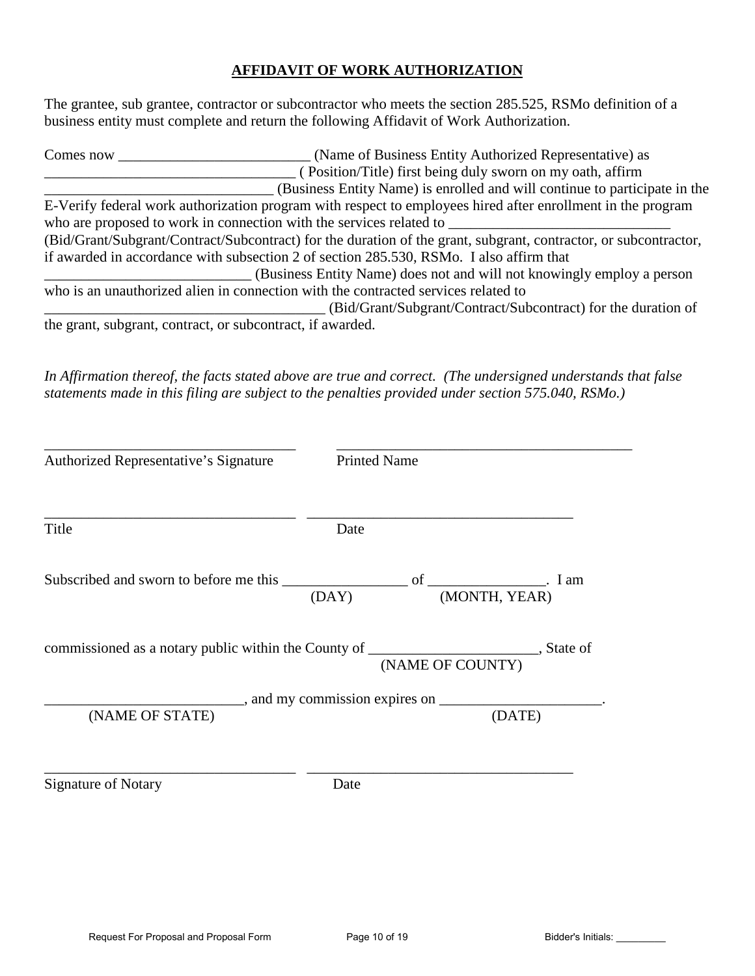# **AFFIDAVIT OF WORK AUTHORIZATION**

The grantee, sub grantee, contractor or subcontractor who meets the section 285.525, RSMo definition of a business entity must complete and return the following Affidavit of Work Authorization.

| Comes now                                                  | (Name of Business Entity Authorized Representative) as                                                           |
|------------------------------------------------------------|------------------------------------------------------------------------------------------------------------------|
|                                                            | (Position/Title) first being duly sworn on my oath, affirm                                                       |
|                                                            | (Business Entity Name) is enrolled and will continue to participate in the                                       |
|                                                            | E-Verify federal work authorization program with respect to employees hired after enrollment in the program      |
|                                                            | who are proposed to work in connection with the services related to                                              |
|                                                            | (Bid/Grant/Subgrant/Contract/Subcontract) for the duration of the grant, subgrant, contractor, or subcontractor, |
|                                                            | if awarded in accordance with subsection 2 of section 285.530, RSMo. I also affirm that                          |
|                                                            | (Business Entity Name) does not and will not knowingly employ a person                                           |
|                                                            | who is an unauthorized alien in connection with the contracted services related to                               |
|                                                            | (Bid/Grant/Subgrant/Contract/Subcontract) for the duration of                                                    |
| the grant, subgrant, contract, or subcontract, if awarded. |                                                                                                                  |

*In Affirmation thereof, the facts stated above are true and correct. (The undersigned understands that false statements made in this filing are subject to the penalties provided under section 575.040, RSMo.)* 

| Authorized Representative's Signature | <b>Printed Name</b>                                                                                            |  |  |
|---------------------------------------|----------------------------------------------------------------------------------------------------------------|--|--|
| Title                                 | Date                                                                                                           |  |  |
|                                       |                                                                                                                |  |  |
|                                       | commissioned as a notary public within the County of ___________________________, State of<br>(NAME OF COUNTY) |  |  |
|                                       |                                                                                                                |  |  |
| (NAME OF STATE)                       | (DATE)                                                                                                         |  |  |
| <b>Signature of Notary</b>            | Date                                                                                                           |  |  |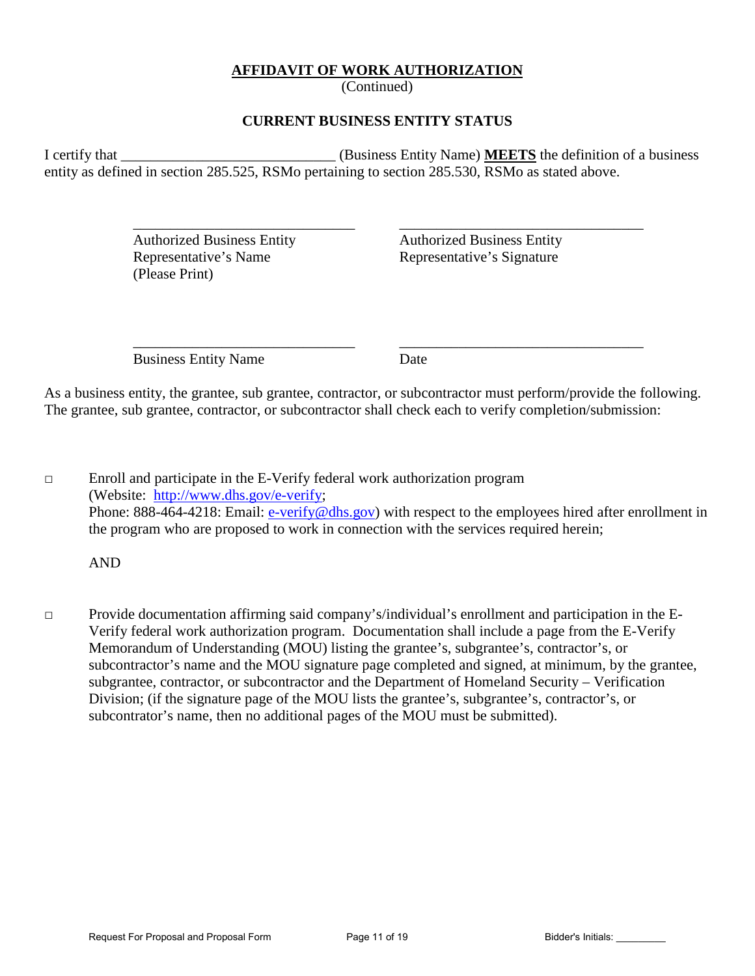### **AFFIDAVIT OF WORK AUTHORIZATION**

(Continued)

### **CURRENT BUSINESS ENTITY STATUS**

I certify that **I** certify that **I** certify that **I** certify that **I** certify that **I** certify that **I** certify that **I** certify that **I** certify that **I** certify that **I** certify that **I** certify that **I** certify that **I** entity as defined in section 285.525, RSMo pertaining to section 285.530, RSMo as stated above.

 $\overline{\phantom{a}}$  ,  $\overline{\phantom{a}}$  ,  $\overline{\phantom{a}}$  ,  $\overline{\phantom{a}}$  ,  $\overline{\phantom{a}}$  ,  $\overline{\phantom{a}}$  ,  $\overline{\phantom{a}}$  ,  $\overline{\phantom{a}}$  ,  $\overline{\phantom{a}}$  ,  $\overline{\phantom{a}}$  ,  $\overline{\phantom{a}}$  ,  $\overline{\phantom{a}}$  ,  $\overline{\phantom{a}}$  ,  $\overline{\phantom{a}}$  ,  $\overline{\phantom{a}}$  ,  $\overline{\phantom{a}}$ 

 Authorized Business Entity Authorized Business Entity Representative's Name Representative's Signature (Please Print)

Business Entity Name Date

 $\overline{\phantom{a}}$  ,  $\overline{\phantom{a}}$  ,  $\overline{\phantom{a}}$  ,  $\overline{\phantom{a}}$  ,  $\overline{\phantom{a}}$  ,  $\overline{\phantom{a}}$  ,  $\overline{\phantom{a}}$  ,  $\overline{\phantom{a}}$  ,  $\overline{\phantom{a}}$  ,  $\overline{\phantom{a}}$  ,  $\overline{\phantom{a}}$  ,  $\overline{\phantom{a}}$  ,  $\overline{\phantom{a}}$  ,  $\overline{\phantom{a}}$  ,  $\overline{\phantom{a}}$  ,  $\overline{\phantom{a}}$ 

As a business entity, the grantee, sub grantee, contractor, or subcontractor must perform/provide the following. The grantee, sub grantee, contractor, or subcontractor shall check each to verify completion/submission:

 $\Box$  Enroll and participate in the E-Verify federal work authorization program (Website: [http://www.dhs.gov/e-verify;](http://www.dhs.gov/e-verify) Phone: 888-464-4218: Email: [e-verify@dhs.gov\)](mailto:e-verify@dhs.gov) with respect to the employees hired after enrollment in the program who are proposed to work in connection with the services required herein;

AND

□ Provide documentation affirming said company's/individual's enrollment and participation in the E-Verify federal work authorization program. Documentation shall include a page from the E-Verify Memorandum of Understanding (MOU) listing the grantee's, subgrantee's, contractor's, or subcontractor's name and the MOU signature page completed and signed, at minimum, by the grantee, subgrantee, contractor, or subcontractor and the Department of Homeland Security – Verification Division; (if the signature page of the MOU lists the grantee's, subgrantee's, contractor's, or subcontrator's name, then no additional pages of the MOU must be submitted).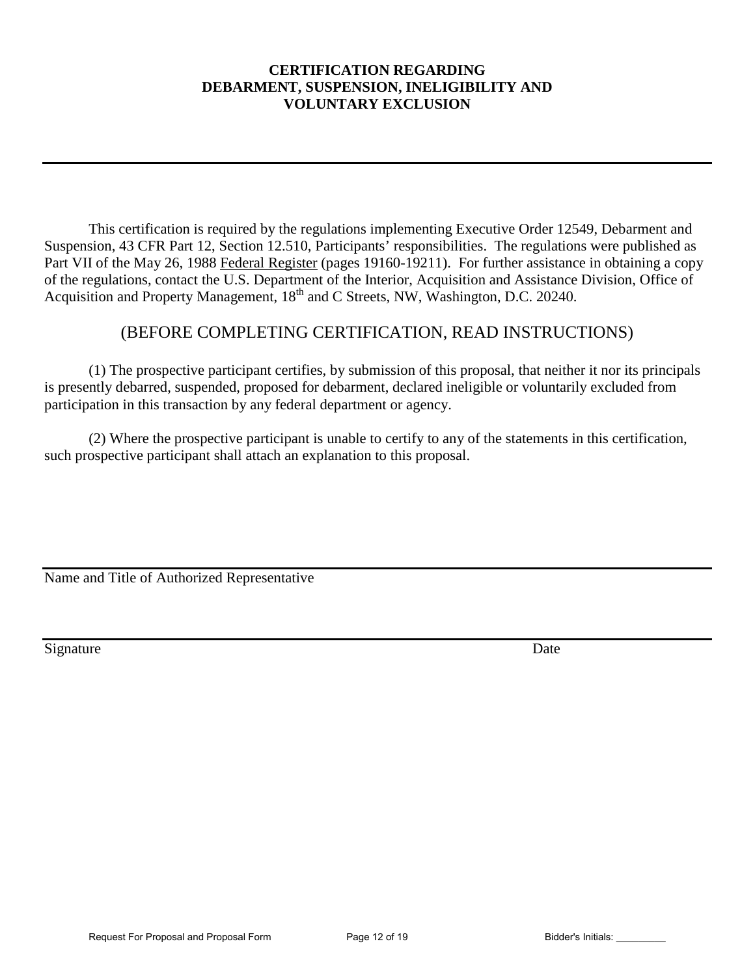## **CERTIFICATION REGARDING DEBARMENT, SUSPENSION, INELIGIBILITY AND VOLUNTARY EXCLUSION**

This certification is required by the regulations implementing Executive Order 12549, Debarment and Suspension, 43 CFR Part 12, Section 12.510, Participants' responsibilities. The regulations were published as Part VII of the May 26, 1988 Federal Register (pages 19160-19211). For further assistance in obtaining a copy of the regulations, contact the U.S. Department of the Interior, Acquisition and Assistance Division, Office of Acquisition and Property Management, 18<sup>th</sup> and C Streets, NW, Washington, D.C. 20240.

# (BEFORE COMPLETING CERTIFICATION, READ INSTRUCTIONS)

(1) The prospective participant certifies, by submission of this proposal, that neither it nor its principals is presently debarred, suspended, proposed for debarment, declared ineligible or voluntarily excluded from participation in this transaction by any federal department or agency.

(2) Where the prospective participant is unable to certify to any of the statements in this certification, such prospective participant shall attach an explanation to this proposal.

Name and Title of Authorized Representative

Signature Date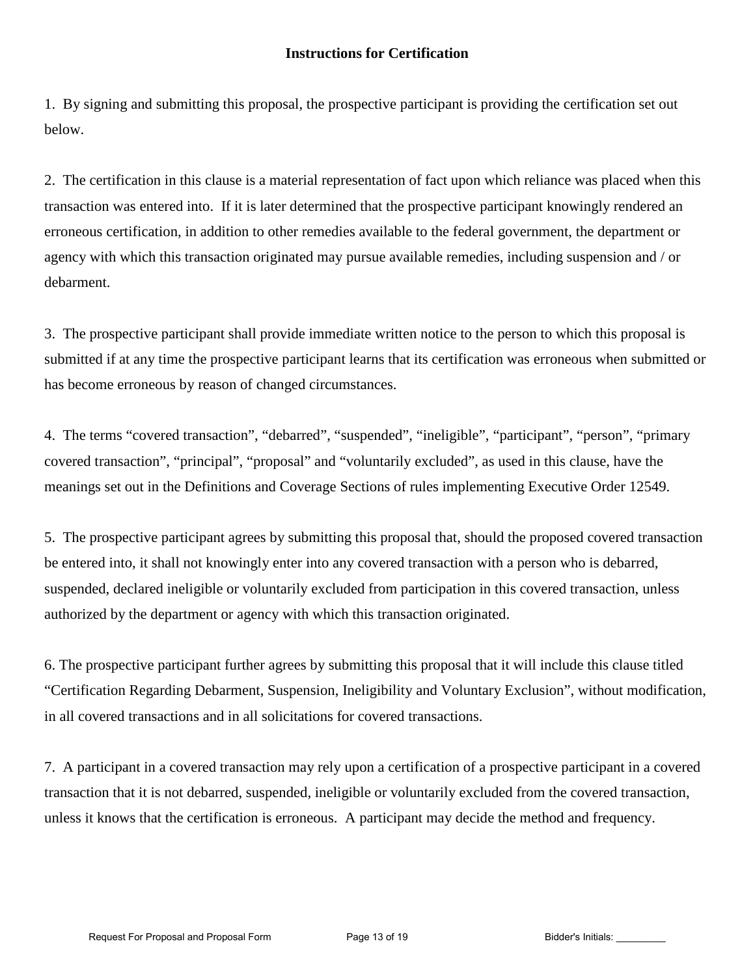1. By signing and submitting this proposal, the prospective participant is providing the certification set out below.

2. The certification in this clause is a material representation of fact upon which reliance was placed when this transaction was entered into. If it is later determined that the prospective participant knowingly rendered an erroneous certification, in addition to other remedies available to the federal government, the department or agency with which this transaction originated may pursue available remedies, including suspension and / or debarment.

3. The prospective participant shall provide immediate written notice to the person to which this proposal is submitted if at any time the prospective participant learns that its certification was erroneous when submitted or has become erroneous by reason of changed circumstances.

4. The terms "covered transaction", "debarred", "suspended", "ineligible", "participant", "person", "primary covered transaction", "principal", "proposal" and "voluntarily excluded", as used in this clause, have the meanings set out in the Definitions and Coverage Sections of rules implementing Executive Order 12549.

5. The prospective participant agrees by submitting this proposal that, should the proposed covered transaction be entered into, it shall not knowingly enter into any covered transaction with a person who is debarred, suspended, declared ineligible or voluntarily excluded from participation in this covered transaction, unless authorized by the department or agency with which this transaction originated.

6. The prospective participant further agrees by submitting this proposal that it will include this clause titled "Certification Regarding Debarment, Suspension, Ineligibility and Voluntary Exclusion", without modification, in all covered transactions and in all solicitations for covered transactions.

7. A participant in a covered transaction may rely upon a certification of a prospective participant in a covered transaction that it is not debarred, suspended, ineligible or voluntarily excluded from the covered transaction, unless it knows that the certification is erroneous. A participant may decide the method and frequency.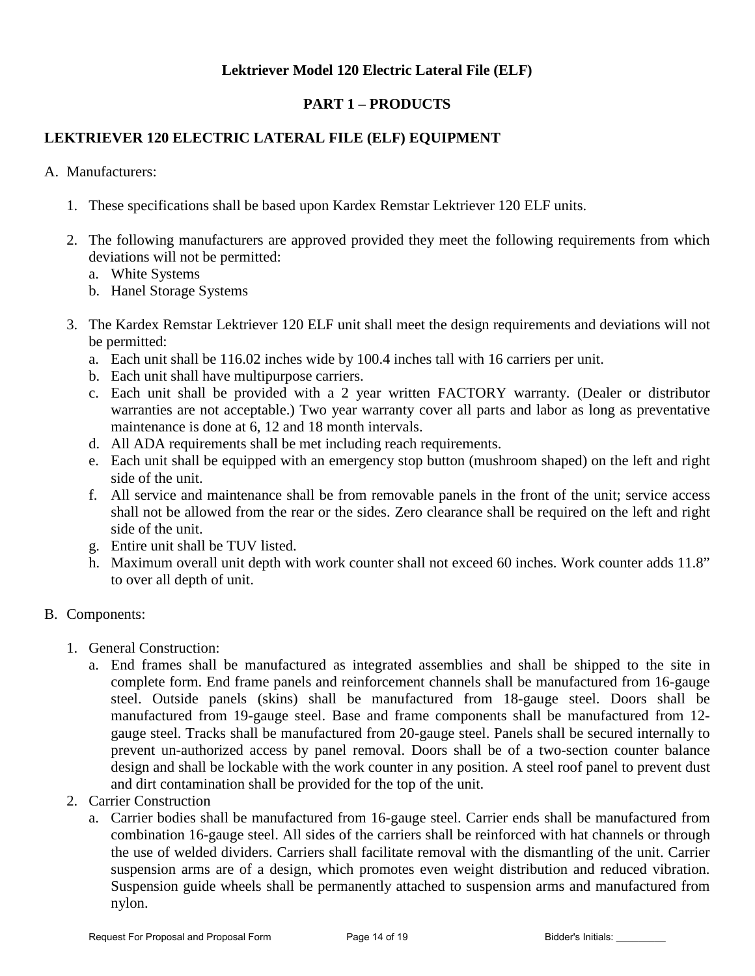# **Lektriever Model 120 Electric Lateral File (ELF)**

# **PART 1 – PRODUCTS**

# **LEKTRIEVER 120 ELECTRIC LATERAL FILE (ELF) EQUIPMENT**

A. Manufacturers:

- 1. These specifications shall be based upon Kardex Remstar Lektriever 120 ELF units.
- 2. The following manufacturers are approved provided they meet the following requirements from which deviations will not be permitted:
	- a. White Systems
	- b. Hanel Storage Systems
- 3. The Kardex Remstar Lektriever 120 ELF unit shall meet the design requirements and deviations will not be permitted:
	- a. Each unit shall be 116.02 inches wide by 100.4 inches tall with 16 carriers per unit.
	- b. Each unit shall have multipurpose carriers.
	- c. Each unit shall be provided with a 2 year written FACTORY warranty. (Dealer or distributor warranties are not acceptable.) Two year warranty cover all parts and labor as long as preventative maintenance is done at 6, 12 and 18 month intervals.
	- d. All ADA requirements shall be met including reach requirements.
	- e. Each unit shall be equipped with an emergency stop button (mushroom shaped) on the left and right side of the unit.
	- f. All service and maintenance shall be from removable panels in the front of the unit; service access shall not be allowed from the rear or the sides. Zero clearance shall be required on the left and right side of the unit.
	- g. Entire unit shall be TUV listed.
	- h. Maximum overall unit depth with work counter shall not exceed 60 inches. Work counter adds 11.8" to over all depth of unit.

### B. Components:

- 1. General Construction:
	- a. End frames shall be manufactured as integrated assemblies and shall be shipped to the site in complete form. End frame panels and reinforcement channels shall be manufactured from 16-gauge steel. Outside panels (skins) shall be manufactured from 18-gauge steel. Doors shall be manufactured from 19-gauge steel. Base and frame components shall be manufactured from 12 gauge steel. Tracks shall be manufactured from 20-gauge steel. Panels shall be secured internally to prevent un-authorized access by panel removal. Doors shall be of a two-section counter balance design and shall be lockable with the work counter in any position. A steel roof panel to prevent dust and dirt contamination shall be provided for the top of the unit.
- 2. Carrier Construction
	- a. Carrier bodies shall be manufactured from 16-gauge steel. Carrier ends shall be manufactured from combination 16-gauge steel. All sides of the carriers shall be reinforced with hat channels or through the use of welded dividers. Carriers shall facilitate removal with the dismantling of the unit. Carrier suspension arms are of a design, which promotes even weight distribution and reduced vibration. Suspension guide wheels shall be permanently attached to suspension arms and manufactured from nylon.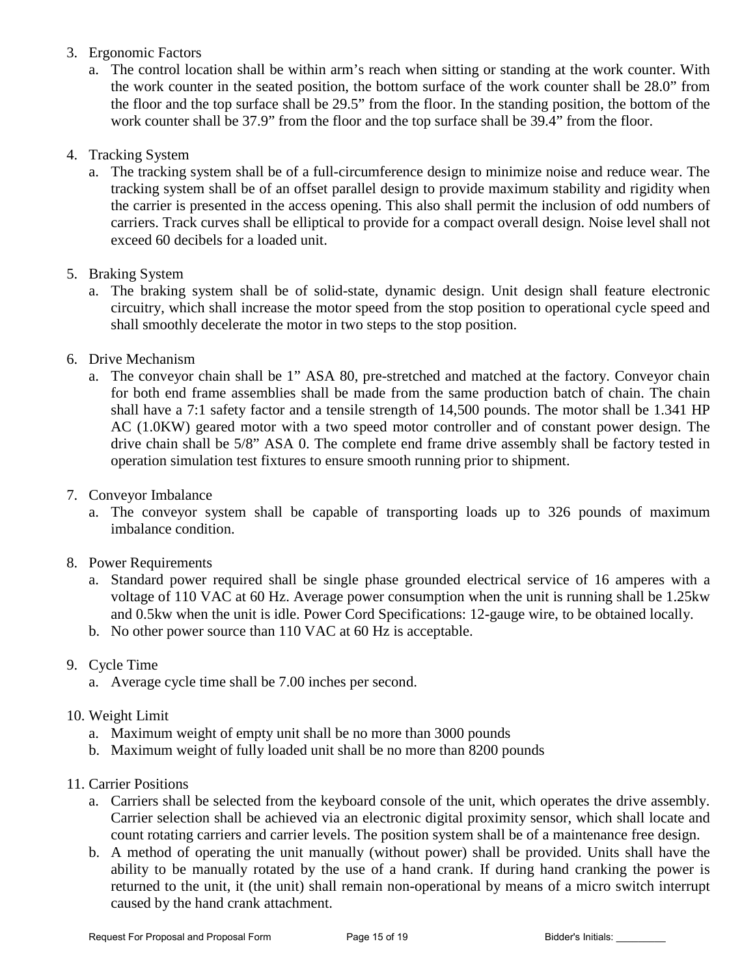- 3. Ergonomic Factors
	- a. The control location shall be within arm's reach when sitting or standing at the work counter. With the work counter in the seated position, the bottom surface of the work counter shall be 28.0" from the floor and the top surface shall be 29.5" from the floor. In the standing position, the bottom of the work counter shall be 37.9" from the floor and the top surface shall be 39.4" from the floor.
- 4. Tracking System
	- a. The tracking system shall be of a full-circumference design to minimize noise and reduce wear. The tracking system shall be of an offset parallel design to provide maximum stability and rigidity when the carrier is presented in the access opening. This also shall permit the inclusion of odd numbers of carriers. Track curves shall be elliptical to provide for a compact overall design. Noise level shall not exceed 60 decibels for a loaded unit.
- 5. Braking System
	- a. The braking system shall be of solid-state, dynamic design. Unit design shall feature electronic circuitry, which shall increase the motor speed from the stop position to operational cycle speed and shall smoothly decelerate the motor in two steps to the stop position.
- 6. Drive Mechanism
	- a. The conveyor chain shall be 1" ASA 80, pre-stretched and matched at the factory. Conveyor chain for both end frame assemblies shall be made from the same production batch of chain. The chain shall have a 7:1 safety factor and a tensile strength of 14,500 pounds. The motor shall be 1.341 HP AC (1.0KW) geared motor with a two speed motor controller and of constant power design. The drive chain shall be 5/8" ASA 0. The complete end frame drive assembly shall be factory tested in operation simulation test fixtures to ensure smooth running prior to shipment.
- 7. Conveyor Imbalance
	- a. The conveyor system shall be capable of transporting loads up to 326 pounds of maximum imbalance condition.
- 8. Power Requirements
	- a. Standard power required shall be single phase grounded electrical service of 16 amperes with a voltage of 110 VAC at 60 Hz. Average power consumption when the unit is running shall be 1.25kw and 0.5kw when the unit is idle. Power Cord Specifications: 12-gauge wire, to be obtained locally.
	- b. No other power source than 110 VAC at 60 Hz is acceptable.
- 9. Cycle Time
	- a. Average cycle time shall be 7.00 inches per second.
- 10. Weight Limit
	- a. Maximum weight of empty unit shall be no more than 3000 pounds
	- b. Maximum weight of fully loaded unit shall be no more than 8200 pounds
- 11. Carrier Positions
	- a. Carriers shall be selected from the keyboard console of the unit, which operates the drive assembly. Carrier selection shall be achieved via an electronic digital proximity sensor, which shall locate and count rotating carriers and carrier levels. The position system shall be of a maintenance free design.
	- b. A method of operating the unit manually (without power) shall be provided. Units shall have the ability to be manually rotated by the use of a hand crank. If during hand cranking the power is returned to the unit, it (the unit) shall remain non-operational by means of a micro switch interrupt caused by the hand crank attachment.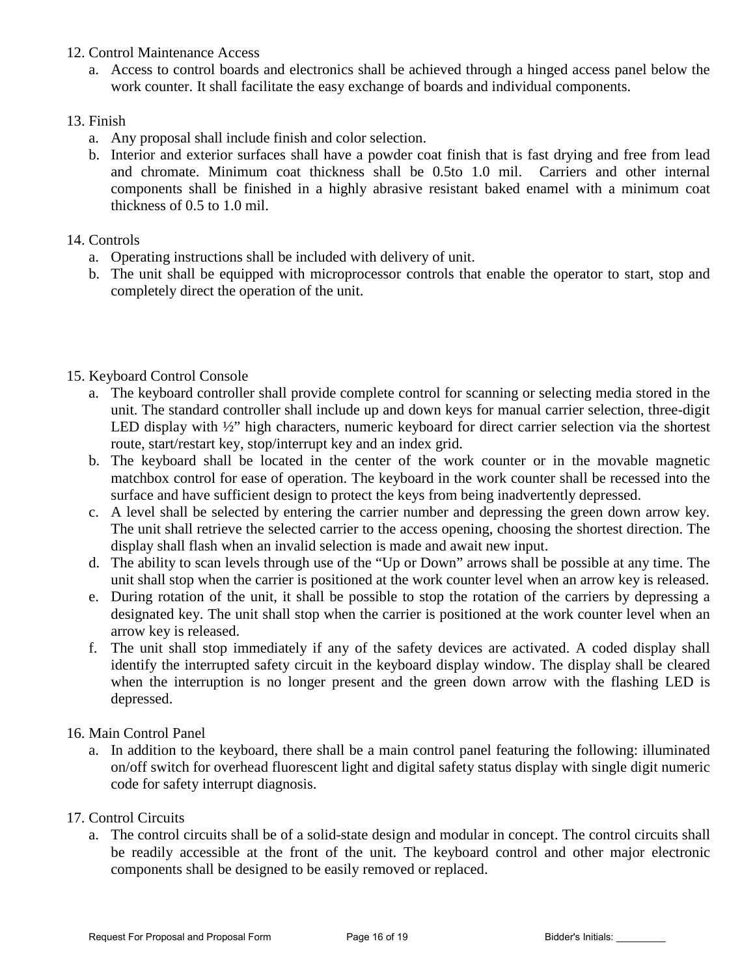- 12. Control Maintenance Access
	- a. Access to control boards and electronics shall be achieved through a hinged access panel below the work counter. It shall facilitate the easy exchange of boards and individual components.

## 13. Finish

- a. Any proposal shall include finish and color selection.
- b. Interior and exterior surfaces shall have a powder coat finish that is fast drying and free from lead and chromate. Minimum coat thickness shall be 0.5to 1.0 mil. Carriers and other internal components shall be finished in a highly abrasive resistant baked enamel with a minimum coat thickness of 0.5 to 1.0 mil.

# 14. Controls

- a. Operating instructions shall be included with delivery of unit.
- b. The unit shall be equipped with microprocessor controls that enable the operator to start, stop and completely direct the operation of the unit.

# 15. Keyboard Control Console

- a. The keyboard controller shall provide complete control for scanning or selecting media stored in the unit. The standard controller shall include up and down keys for manual carrier selection, three-digit LED display with  $\frac{1}{2}$ " high characters, numeric keyboard for direct carrier selection via the shortest route, start/restart key, stop/interrupt key and an index grid.
- b. The keyboard shall be located in the center of the work counter or in the movable magnetic matchbox control for ease of operation. The keyboard in the work counter shall be recessed into the surface and have sufficient design to protect the keys from being inadvertently depressed.
- c. A level shall be selected by entering the carrier number and depressing the green down arrow key. The unit shall retrieve the selected carrier to the access opening, choosing the shortest direction. The display shall flash when an invalid selection is made and await new input.
- d. The ability to scan levels through use of the "Up or Down" arrows shall be possible at any time. The unit shall stop when the carrier is positioned at the work counter level when an arrow key is released.
- e. During rotation of the unit, it shall be possible to stop the rotation of the carriers by depressing a designated key. The unit shall stop when the carrier is positioned at the work counter level when an arrow key is released.
- f. The unit shall stop immediately if any of the safety devices are activated. A coded display shall identify the interrupted safety circuit in the keyboard display window. The display shall be cleared when the interruption is no longer present and the green down arrow with the flashing LED is depressed.

# 16. Main Control Panel

a. In addition to the keyboard, there shall be a main control panel featuring the following: illuminated on/off switch for overhead fluorescent light and digital safety status display with single digit numeric code for safety interrupt diagnosis.

# 17. Control Circuits

a. The control circuits shall be of a solid-state design and modular in concept. The control circuits shall be readily accessible at the front of the unit. The keyboard control and other major electronic components shall be designed to be easily removed or replaced.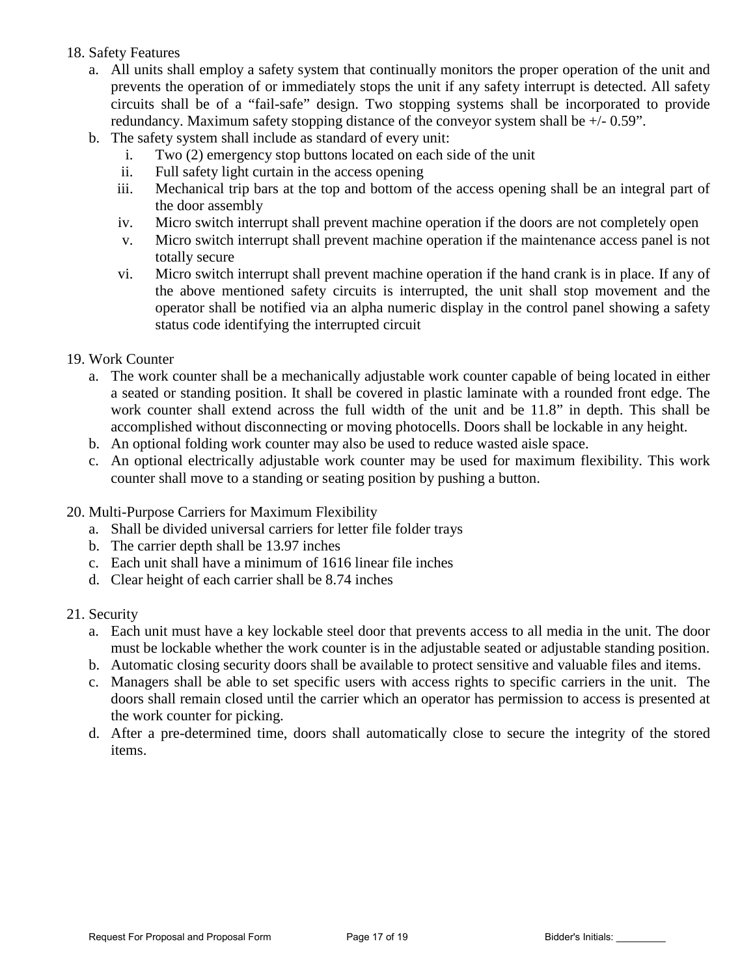### 18. Safety Features

- a. All units shall employ a safety system that continually monitors the proper operation of the unit and prevents the operation of or immediately stops the unit if any safety interrupt is detected. All safety circuits shall be of a "fail-safe" design. Two stopping systems shall be incorporated to provide redundancy. Maximum safety stopping distance of the conveyor system shall be +/- 0.59".
- b. The safety system shall include as standard of every unit:
	- i. Two (2) emergency stop buttons located on each side of the unit
	- ii. Full safety light curtain in the access opening
	- iii. Mechanical trip bars at the top and bottom of the access opening shall be an integral part of the door assembly
	- iv. Micro switch interrupt shall prevent machine operation if the doors are not completely open
	- v. Micro switch interrupt shall prevent machine operation if the maintenance access panel is not totally secure
	- vi. Micro switch interrupt shall prevent machine operation if the hand crank is in place. If any of the above mentioned safety circuits is interrupted, the unit shall stop movement and the operator shall be notified via an alpha numeric display in the control panel showing a safety status code identifying the interrupted circuit

## 19. Work Counter

- a. The work counter shall be a mechanically adjustable work counter capable of being located in either a seated or standing position. It shall be covered in plastic laminate with a rounded front edge. The work counter shall extend across the full width of the unit and be 11.8" in depth. This shall be accomplished without disconnecting or moving photocells. Doors shall be lockable in any height.
- b. An optional folding work counter may also be used to reduce wasted aisle space.
- c. An optional electrically adjustable work counter may be used for maximum flexibility. This work counter shall move to a standing or seating position by pushing a button.
- 20. Multi-Purpose Carriers for Maximum Flexibility
	- a. Shall be divided universal carriers for letter file folder trays
	- b. The carrier depth shall be 13.97 inches
	- c. Each unit shall have a minimum of 1616 linear file inches
	- d. Clear height of each carrier shall be 8.74 inches
- 21. Security
	- a. Each unit must have a key lockable steel door that prevents access to all media in the unit. The door must be lockable whether the work counter is in the adjustable seated or adjustable standing position.
	- b. Automatic closing security doors shall be available to protect sensitive and valuable files and items.
	- c. Managers shall be able to set specific users with access rights to specific carriers in the unit. The doors shall remain closed until the carrier which an operator has permission to access is presented at the work counter for picking.
	- d. After a pre-determined time, doors shall automatically close to secure the integrity of the stored items.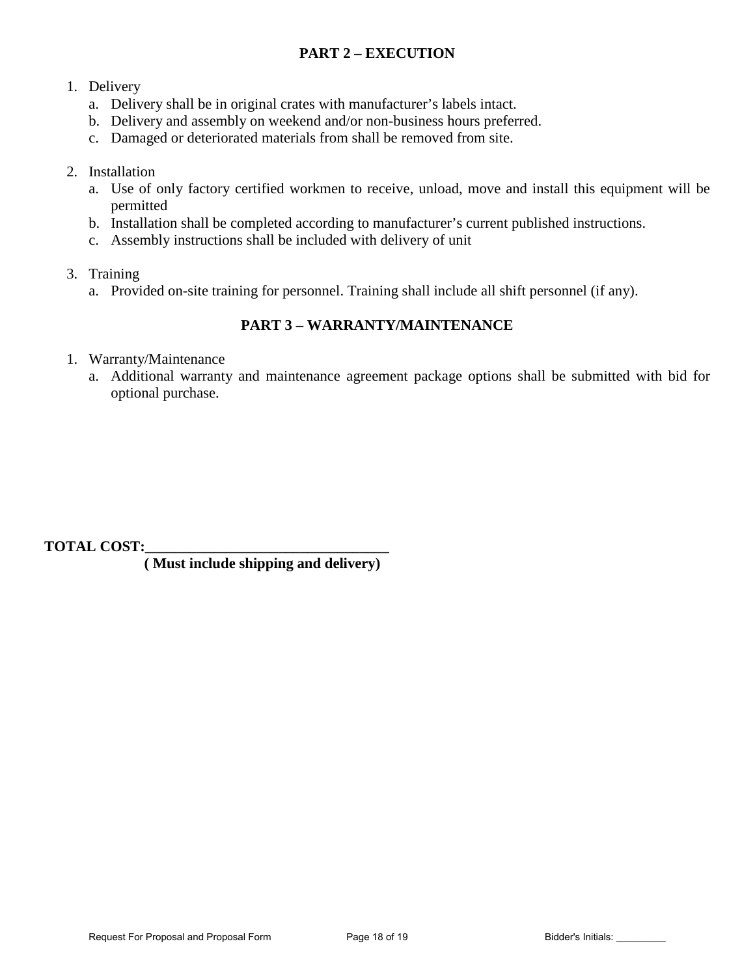# **PART 2 – EXECUTION**

## 1. Delivery

- a. Delivery shall be in original crates with manufacturer's labels intact.
- b. Delivery and assembly on weekend and/or non-business hours preferred.
- c. Damaged or deteriorated materials from shall be removed from site.

## 2. Installation

- a. Use of only factory certified workmen to receive, unload, move and install this equipment will be permitted
- b. Installation shall be completed according to manufacturer's current published instructions.
- c. Assembly instructions shall be included with delivery of unit
- 3. Training
	- a. Provided on-site training for personnel. Training shall include all shift personnel (if any).

# **PART 3 – WARRANTY/MAINTENANCE**

- 1. Warranty/Maintenance
	- a. Additional warranty and maintenance agreement package options shall be submitted with bid for optional purchase.

**TOTAL COST:\_\_\_\_\_\_\_\_\_\_\_\_\_\_\_\_\_\_\_\_\_\_\_\_\_\_\_\_\_\_\_\_\_** 

 **( Must include shipping and delivery)**